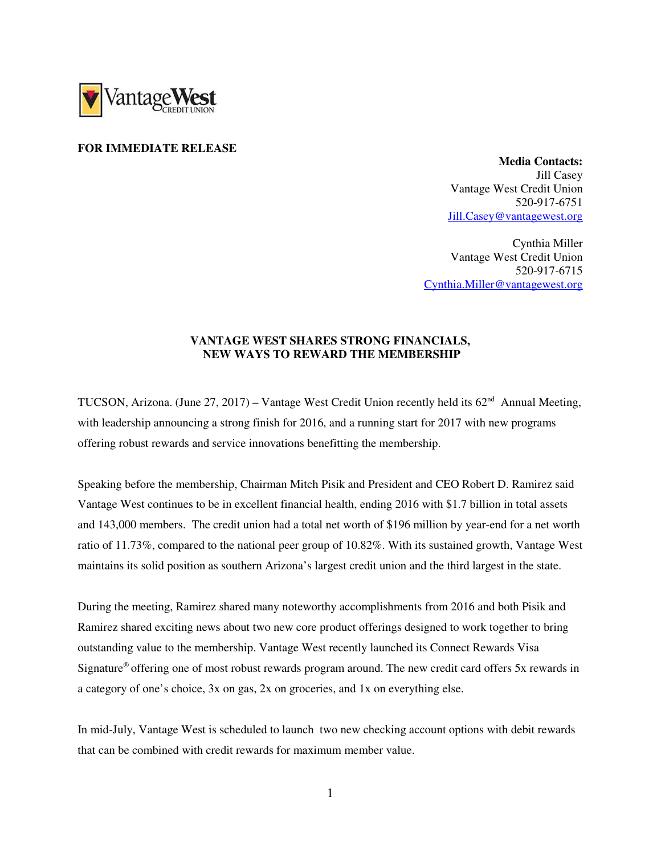

## **FOR IMMEDIATE RELEASE**

 **Media Contacts:**  Jill Casey Vantage West Credit Union 520-917-6751 Jill.Casey@vantagewest.org

Cynthia Miller Vantage West Credit Union 520-917-6715 Cynthia.Miller@vantagewest.org

## **VANTAGE WEST SHARES STRONG FINANCIALS, NEW WAYS TO REWARD THE MEMBERSHIP**

TUCSON, Arizona. (June 27, 2017) – Vantage West Credit Union recently held its 62<sup>nd</sup> Annual Meeting, with leadership announcing a strong finish for 2016, and a running start for 2017 with new programs offering robust rewards and service innovations benefitting the membership.

Speaking before the membership, Chairman Mitch Pisik and President and CEO Robert D. Ramirez said Vantage West continues to be in excellent financial health, ending 2016 with \$1.7 billion in total assets and 143,000 members. The credit union had a total net worth of \$196 million by year-end for a net worth ratio of 11.73%, compared to the national peer group of 10.82%. With its sustained growth, Vantage West maintains its solid position as southern Arizona's largest credit union and the third largest in the state.

During the meeting, Ramirez shared many noteworthy accomplishments from 2016 and both Pisik and Ramirez shared exciting news about two new core product offerings designed to work together to bring outstanding value to the membership. Vantage West recently launched its Connect Rewards Visa Signature® offering one of most robust rewards program around. The new credit card offers 5x rewards in a category of one's choice, 3x on gas, 2x on groceries, and 1x on everything else.

In mid-July, Vantage West is scheduled to launch two new checking account options with debit rewards that can be combined with credit rewards for maximum member value.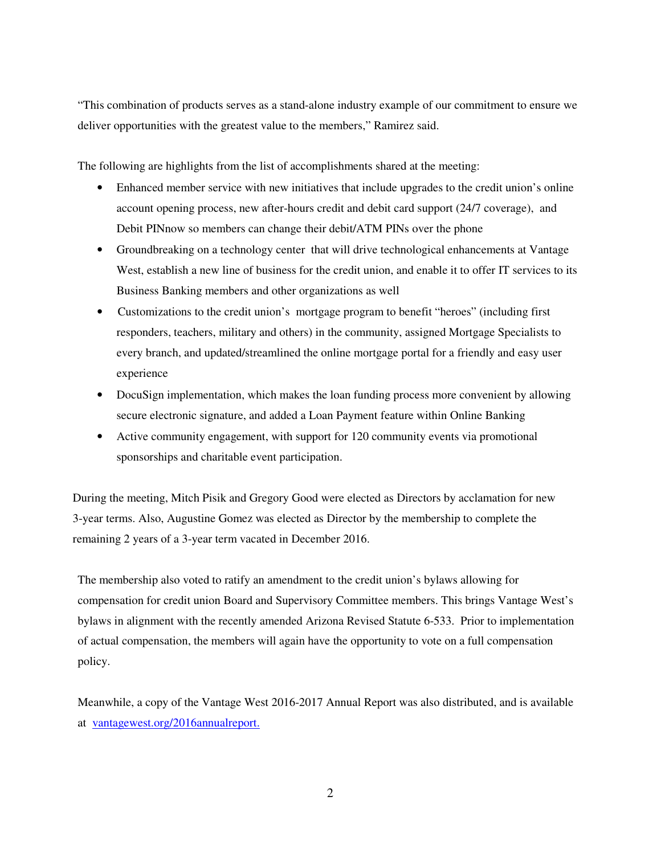"This combination of products serves as a stand-alone industry example of our commitment to ensure we deliver opportunities with the greatest value to the members," Ramirez said.

The following are highlights from the list of accomplishments shared at the meeting:

- Enhanced member service with new initiatives that include upgrades to the credit union's online account opening process, new after-hours credit and debit card support (24/7 coverage), and Debit PINnow so members can change their debit/ATM PINs over the phone
- Groundbreaking on a technology center that will drive technological enhancements at Vantage West, establish a new line of business for the credit union, and enable it to offer IT services to its Business Banking members and other organizations as well
- Customizations to the credit union's mortgage program to benefit "heroes" (including first responders, teachers, military and others) in the community, assigned Mortgage Specialists to every branch, and updated/streamlined the online mortgage portal for a friendly and easy user experience
- DocuSign implementation, which makes the loan funding process more convenient by allowing secure electronic signature, and added a Loan Payment feature within Online Banking
- Active community engagement, with support for 120 community events via promotional sponsorships and charitable event participation.

During the meeting, Mitch Pisik and Gregory Good were elected as Directors by acclamation for new 3-year terms. Also, Augustine Gomez was elected as Director by the membership to complete the remaining 2 years of a 3-year term vacated in December 2016.

The membership also voted to ratify an amendment to the credit union's bylaws allowing for compensation for credit union Board and Supervisory Committee members. This brings Vantage West's bylaws in alignment with the recently amended Arizona Revised Statute 6-533. Prior to implementation of actual compensation, the members will again have the opportunity to vote on a full compensation policy.

Meanwhile, a copy of the Vantage West 2016-2017 Annual Report was also distributed, and is available at vantagewest.org/2016annualreport.